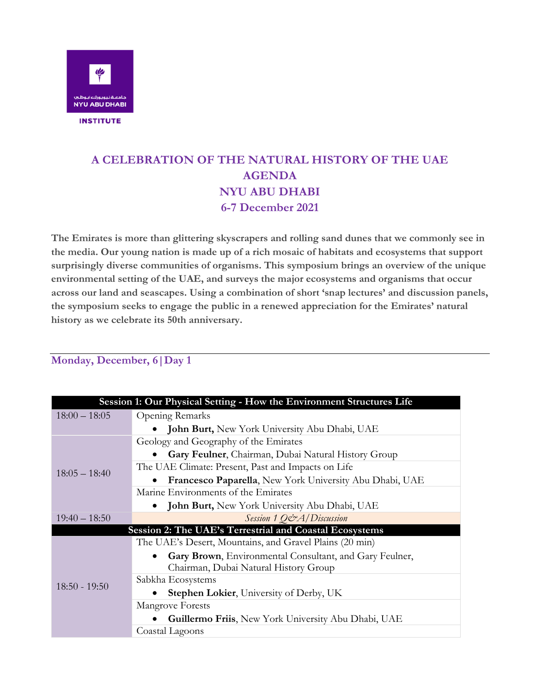

## **A CELEBRATION OF THE NATURAL HISTORY OF THE UAE AGENDA NYU ABU DHABI 6-7 December 2021**

**The Emirates is more than glittering skyscrapers and rolling sand dunes that we commonly see in the media. Our young nation is made up of a rich mosaic of habitats and ecosystems that support surprisingly diverse communities of organisms. This symposium brings an overview of the unique environmental setting of the UAE, and surveys the major ecosystems and organisms that occur across our land and seascapes. Using a combination of short 'snap lectures' and discussion panels, the symposium seeks to engage the public in a renewed appreciation for the Emirates' natural history as we celebrate its 50th anniversary.**

## **Monday, December, 6|Day 1**

| Session 1: Our Physical Setting - How the Environment Structures Life |                                                            |  |
|-----------------------------------------------------------------------|------------------------------------------------------------|--|
| $18:00 - 18:05$                                                       | Opening Remarks                                            |  |
|                                                                       | <b>John Burt, New York University Abu Dhabi, UAE</b>       |  |
| $18:05 - 18:40$                                                       | Geology and Geography of the Emirates                      |  |
|                                                                       | Gary Feulner, Chairman, Dubai Natural History Group        |  |
|                                                                       | The UAE Climate: Present, Past and Impacts on Life         |  |
|                                                                       | Francesco Paparella, New York University Abu Dhabi, UAE    |  |
|                                                                       | Marine Environments of the Emirates                        |  |
|                                                                       | John Burt, New York University Abu Dhabi, UAE<br>$\bullet$ |  |
| $19:40 - 18:50$                                                       | Session 1 Q&A/Discussion                                   |  |
| Session 2: The UAE's Terrestrial and Coastal Ecosystems               |                                                            |  |
| $18:50 - 19:50$                                                       | The UAE's Desert, Mountains, and Gravel Plains (20 min)    |  |
|                                                                       | Gary Brown, Environmental Consultant, and Gary Feulner,    |  |
|                                                                       | Chairman, Dubai Natural History Group                      |  |
|                                                                       | Sabkha Ecosystems                                          |  |
|                                                                       | <b>Stephen Lokier</b> , University of Derby, UK            |  |
|                                                                       | <b>Mangrove Forests</b>                                    |  |
|                                                                       | Guillermo Friis, New York University Abu Dhabi, UAE        |  |
|                                                                       | Coastal Lagoons                                            |  |